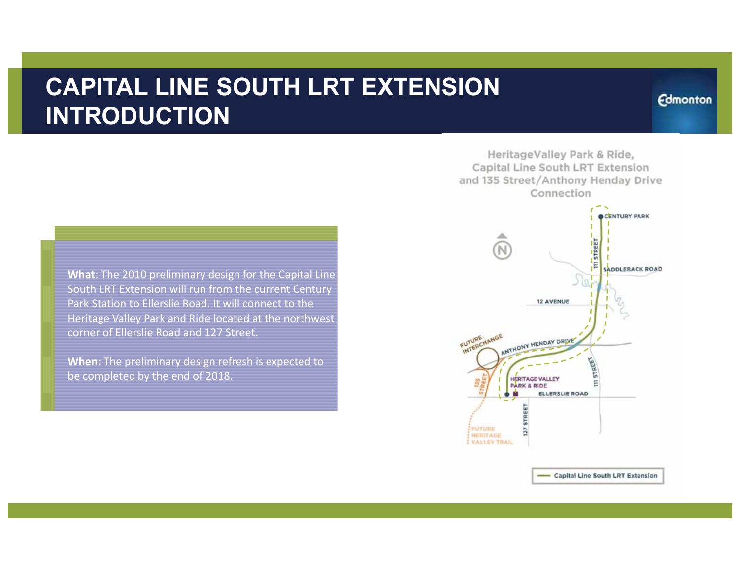# **CAPITAL LINE SOUTH LRT EXTENSIONINTRODUCTION**

**What**: The 2010 preliminary design for the Capital Line South LRT Extension will run from the current Century Park Station to Ellerslie Road. It will connect to theHeritage Valley Park and Ride located at the northwest corner of Ellerslie Road and 127 Street.

**When:** The preliminary design refresh is expected to be completed by the end of 2018.

HeritageValley Park & Ride, Capital Line South LRT Extension and 135 Street/Anthony Henday Drive Connection CENTURY PARK N **TIT STRE** SADDLEBACK ROAD **12 AVENUE** FUTURE HANGE ANTHONY HENDAY DRIVE **HERITAGE VALLEY** Έ PARK & RIDE **ELLERSLIE ROAD PUTURE** 127 **HERITAGE VALLEY TRAIL** 

**Edmonton** 

- Capital Line South LRT Extension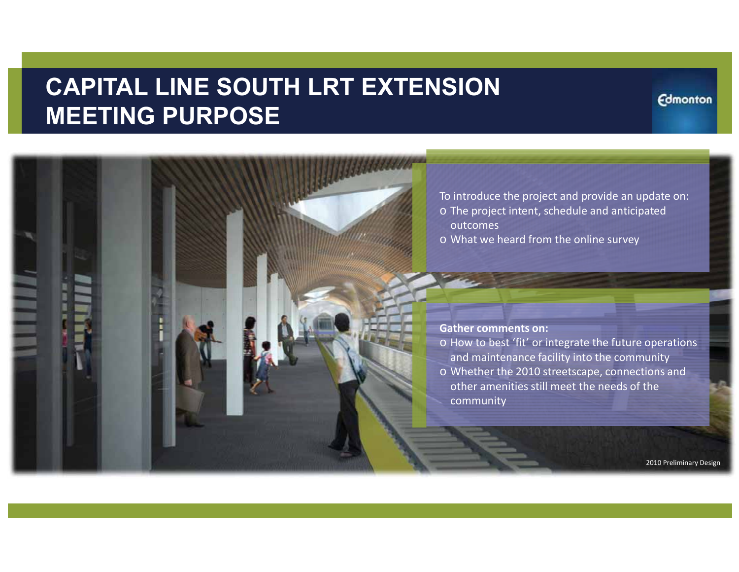# **CAPITAL LINE SOUTH LRT EXTENSION MEETING PURPOSE**

To introduce the project and provide an update on:

- o The project intent, schedule and anticipated outcomes
- o What we heard from the online survey

**Gather comments on:**

- o How to best 'fit' or integrate the future operations and maintenance facility into the community
- o Whether the 2010 streetscape, connections and other amenities still meet the needs of the community

2010 Preliminary Design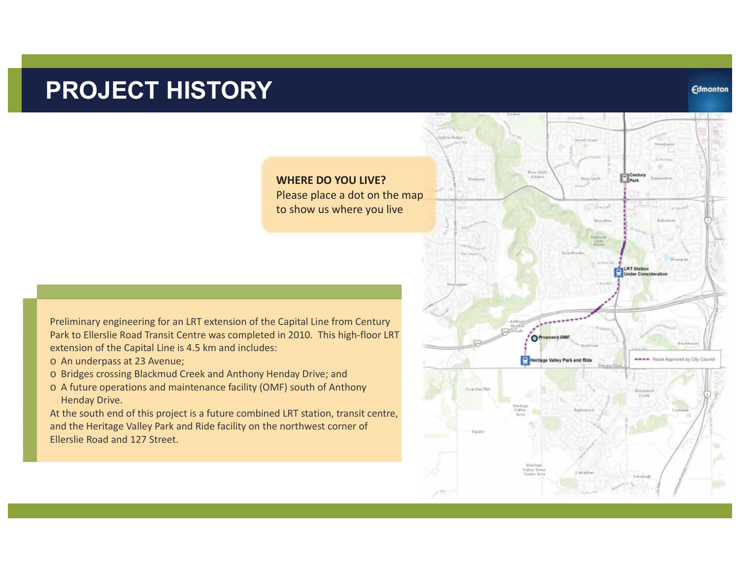## **PROJECT HISTORY**

#### **Edmonton**

**WHERE DO YOU LIVE?**Please place a dot on the map to show us where you live

Preliminary engineering for an LRT extension of the Capital Line from Century Park to Ellerslie Road Transit Centre was completed in 2010. This high-floor LRT extension of the Capital Line is 4.5 km and includes:

- o An underpass at 23 Avenue;
- o Bridges crossing Blackmud Creek and Anthony Henday Drive; and
- o A future operations and maintenance facility (OMF) south of Anthony Henday Drive.

At the south end of this project is a future combined LRT station, transit centre, and the Heritage Valley Park and Ride facility on the northwest corner of Ellerslie Road and 127 Street.

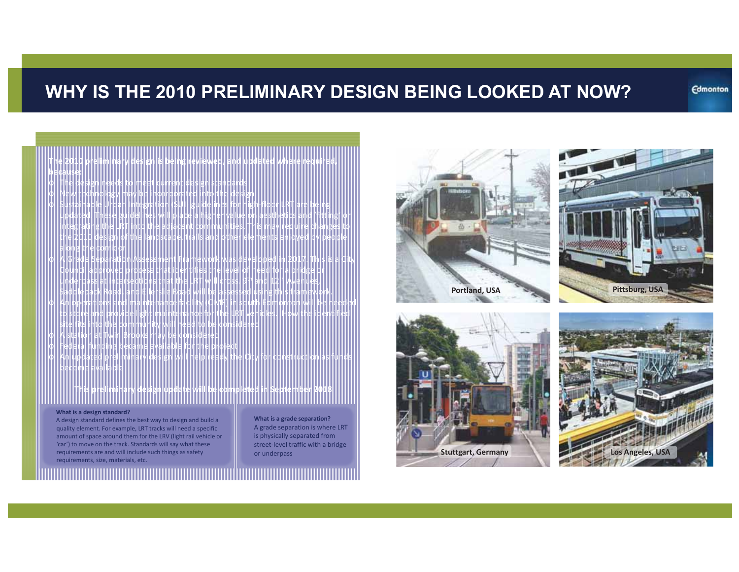### **WHY IS THE 2010 PRELIMINARY DESIGN BEING LOOKED AT NOW?**

**The 2010 preliminary design is being reviewed, and updated where required, because:**

- o The design needs to meet current design standards
- o New technology may be incorporated into the design
- o Sustainable Urban Integration (SUI) guidelines for high-floor LRT are being updated. These guidelines will place a higher value on aesthetics and 'fitting' or integrating the LRT into the adjacent communities. This may require changes to the 2010 design of the landscape, trails and other elements enjoyed by people along the corridor
- o A Grade Separation Assessment Framework was developed in 2017. This is a City Council approved process that identifies the level of need for a bridge or underpass at intersections that the LRT will cross.  $9<sup>th</sup>$  and  $12<sup>th</sup>$  Avenues, Saddleback Road, and Ellerslie Road will be assessed using this framework.
- o An operations and maintenance facility (OMF) in south Edmonton will be needed to store and provide light maintenance for the LRT vehicles. How the identified site fits into the community will need to be considered
- o A station at Twin Brooks may be considered
- o Federal funding became available for the project
- $\circ~$  An updated preliminary design will help ready the City for construction as funds become available

**This preliminary design update will be completed in September 2018**

#### **What is a design standard?**

A design standard defines the best way to design and build a quality element. For example, LRT tracks will need a specific amount of space around them for the LRV (light rail vehicle or 'car') to move on the track. Standards will say what these requirements are and will include such things as safety requirements, size, materials, etc.

**What is a grade separation?** A grade separation is where LRT is physically separated from street-level traffic with a bridge







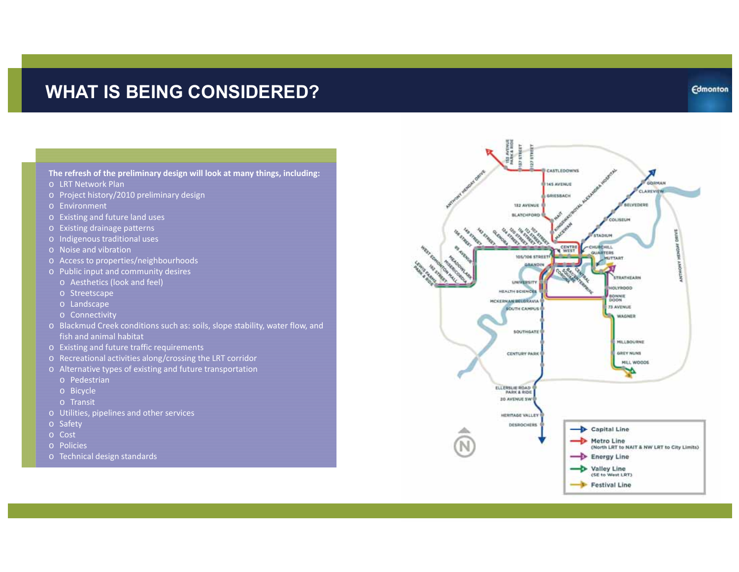### **WHAT IS BEING CONSIDERED?**

**Edmonton** 

**The refresh of the preliminary design will look at many things, including:**

- o LRT Network Plan
- o Project history/2010 preliminary design
- o Environment
- o Existing and future land uses
- o Existing drainage patterns
- o Indigenous traditional uses
- o Noise and vibration
- o Access to properties/neighbourhoods
- o Public input and community desires
	- o Aesthetics (look and feel)
	- o Streetscape
	- o Landscape
	- o Connectivity
- o Blackmud Creek conditions such as: soils, slope stability, water flow, and fish and animal habitat
- o Existing and future traffic requirements
- o Recreational activities along/crossing the LRT corridor
- o Alternative types of existing and future transportation
	- o Pedestrian
	- o Bicycle
	- o Transit
- o Utilities, pipelines and other services
- o Safety
- o Cost
- o Policies
- o Technical design standards

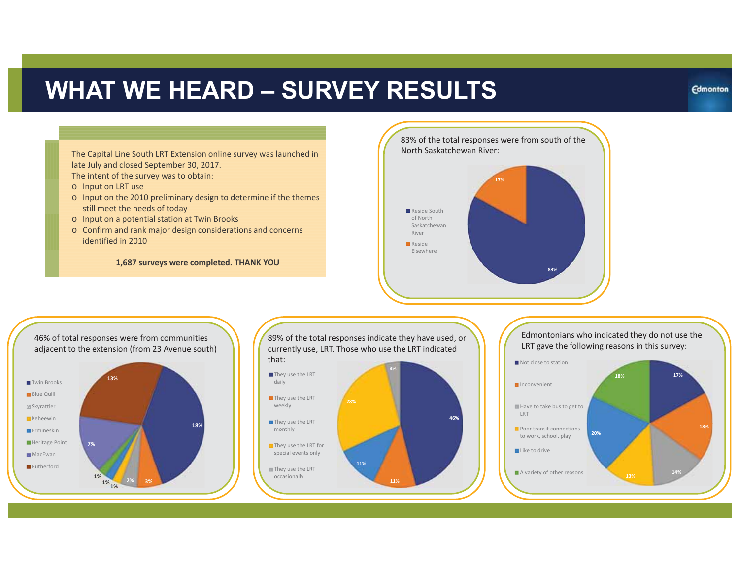The Capital Line South LRT Extension online survey was launched in late July and closed September 30, 2017. The intent of the survey was to obtain:

- o Input on LRT use
- o Input on the 2010 preliminary design to determine if the themes still meet the needs of today
- o Input on a potential station at Twin Brooks
- o Confirm and rank major design considerations and concerns identified in 2010

**1,687 surveys were completed. THANK YOU**









Edmontonians who indicated they do not use the LRT gave the following reasons in this survey:

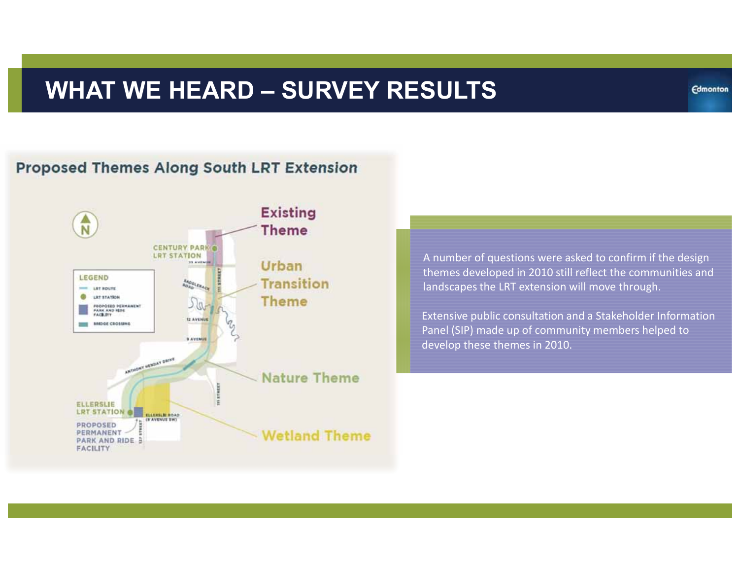### **Proposed Themes Along South LRT Extension**



A number of questions were asked to confirm if the design themes developed in 2010 still reflect the communities and landscapes the LRT extension will move through.

Extensive public consultation and a Stakeholder Information Panel (SIP) made up of community members helped to develop these themes in 2010.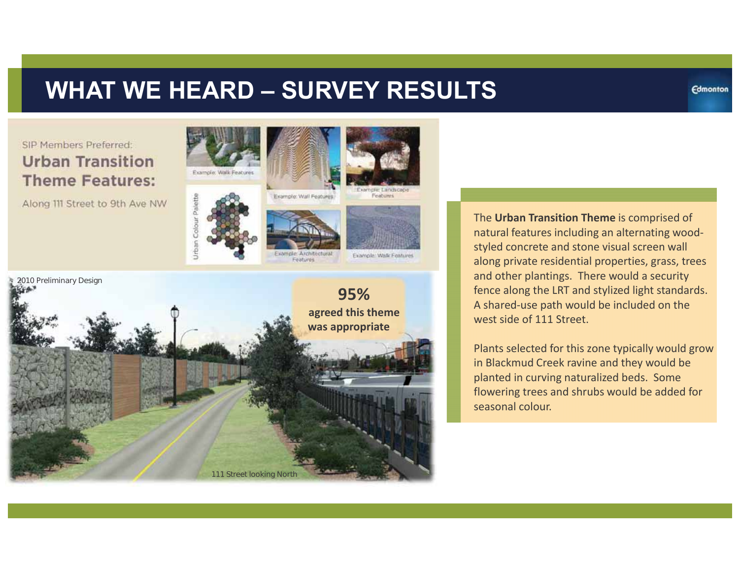### SIP Members Preferred: **Urban Transition Theme Features:**

Along 111 Street to 9th Ave NW





Example: Wall Features





Example: Walk Features



The **Urban Transition Theme** is comprised of natural features including an alternating woodstyled concrete and stone visual screen wall along private residential properties, grass, trees and other plantings. There would a security fence along the LRT and stylized light standards. A shared-use path would be included on the west side of 111 Street.

Plants selected for this zone typically would grow in Blackmud Creek ravine and they would be planted in curving naturalized beds. Some flowering trees and shrubs would be added for seasonal colour.

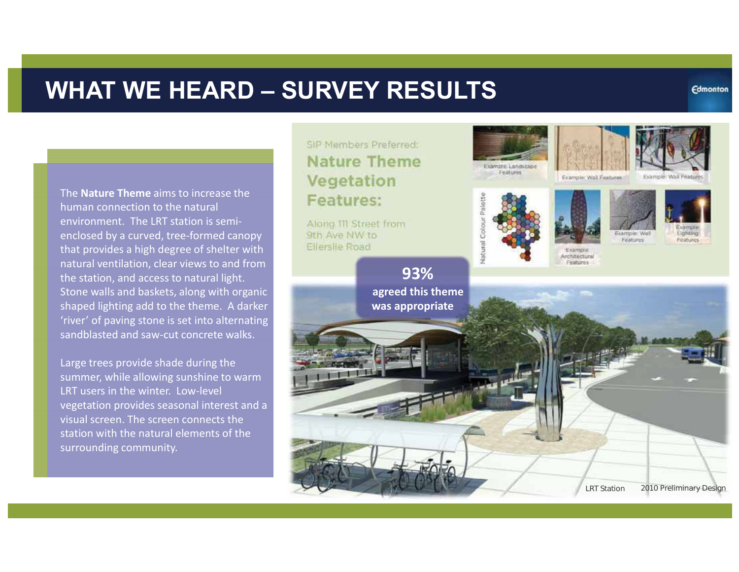The **Nature Theme** aims to increase the human connection to the naturalenvironment. The LRT station is semienclosed by a curved, tree-formed canopy that provides a high degree of shelter with natural ventilation, clear views to and from the station, and access to natural light. Stone walls and baskets, along with organic shaped lighting add to the theme. A darker 'river' of paving stone is set into alternating sandblasted and saw-cut concrete walks.

Large trees provide shade during the summer, while allowing sunshine to warm LRT users in the winter. Low-levelvegetation provides seasonal interest and a visual screen. The screen connects the station with the natural elements of thesurrounding community.

### SIP Members Preferred: **Nature Theme** Vegetation Features:

9th Ave NW to Ellerslie Road



LRT Station2010 Preliminary Design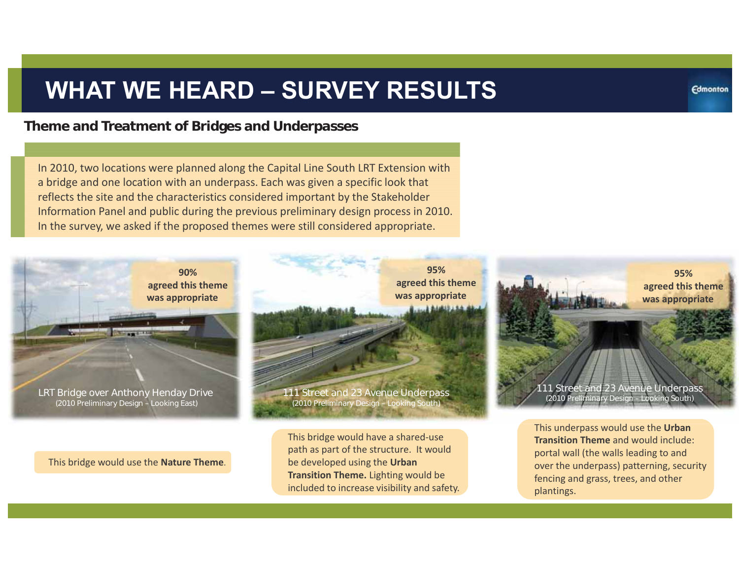**Theme and Treatment of Bridges and Underpasses**

In 2010, two locations were planned along the Capital Line South LRT Extension with a bridge and one location with an underpass. Each was given a specific look that reflects the site and the characteristics considered important by the Stakeholder Information Panel and public during the previous preliminary design process in 2010. In the survey, we asked if the proposed themes were still considered appropriate.



This bridge would use the **Nature Theme**.

be developed using the **Urban Transition Theme.** Lighting would be included to increase visibility and safety.

over the underpass) patterning, security fencing and grass, trees, and other plantings.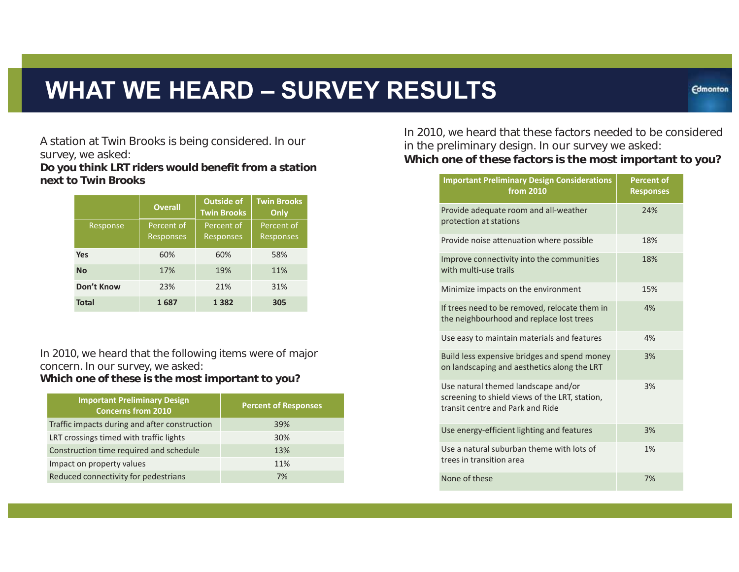A station at Twin Brooks is being considered. In our survey, we asked:

**Do you think LRT riders would benefit from a station next to Twin Brooks**

|              | <b>Overall</b>                 | <b>Outside of</b><br><b>Twin Brooks</b> | <b>Twin Brooks</b><br>Only     |
|--------------|--------------------------------|-----------------------------------------|--------------------------------|
| Response     | Percent of<br><b>Responses</b> | Percent of<br><b>Responses</b>          | Percent of<br><b>Responses</b> |
| <b>Yes</b>   | 60%                            | 60%                                     | 58%                            |
| <b>No</b>    | 17%                            | 19%                                     | 11%                            |
| Don't Know   | 23%                            | 21%                                     | 31%                            |
| <b>Total</b> | 1687                           | 1382                                    | 305                            |

In 2010, we heard that the following items were of major concern. In our survey, we asked:

**Which one of these is the most important to you?**

| <b>Important Preliminary Design</b><br><b>Concerns from 2010</b> | <b>Percent of Responses</b> |
|------------------------------------------------------------------|-----------------------------|
| Traffic impacts during and after construction                    | 39%                         |
| LRT crossings timed with traffic lights                          | 30%                         |
| Construction time required and schedule                          | 13%                         |
| Impact on property values                                        | 11%                         |
| Reduced connectivity for pedestrians                             | 7%                          |

In 2010, we heard that these factors needed to be considered in the preliminary design. In our survey we asked: **Which one of these factors is the most important to you?**

| <b>Important Preliminary Design Considerations</b><br><b>from 2010</b>                                                    | <b>Percent of</b><br><b>Responses</b> |
|---------------------------------------------------------------------------------------------------------------------------|---------------------------------------|
| Provide adequate room and all-weather<br>protection at stations                                                           | 24%                                   |
| Provide noise attenuation where possible                                                                                  | 18%                                   |
| Improve connectivity into the communities<br>with multi-use trails                                                        | 18%                                   |
| Minimize impacts on the environment                                                                                       | 15%                                   |
| If trees need to be removed, relocate them in<br>the neighbourhood and replace lost trees                                 | 4%                                    |
| Use easy to maintain materials and features                                                                               | 4%                                    |
| Build less expensive bridges and spend money<br>on landscaping and aesthetics along the LRT                               | 3%                                    |
| Use natural themed landscape and/or<br>screening to shield views of the LRT, station,<br>transit centre and Park and Ride | 3%                                    |
| Use energy-efficient lighting and features                                                                                | 3%                                    |
| Use a natural suburban theme with lots of<br>trees in transition area                                                     | 1%                                    |
| None of these                                                                                                             | 7%                                    |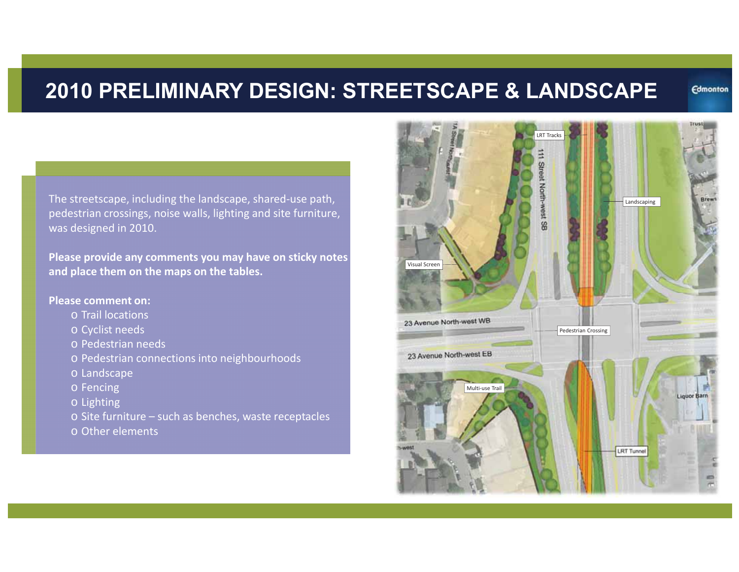### **2010 PRELIMINARY DESIGN: STREETSCAPE & LANDSCAPE**

**Edmonton** 

The streetscape, including the landscape, shared-use path, pedestrian crossings, noise walls, lighting and site furniture, was designed in 2010.

**Please provide any comments you may have on sticky notes and place them on the maps on the tables.**

#### **Please comment on:**

- o Trail locations
- o Cyclist needs
- o Pedestrian needs
- o Pedestrian connections into neighbourhoods
- o Landscape
- o Fencing
- o Lighting
- o Site furniture such as benches, waste receptacles
- o Other elements

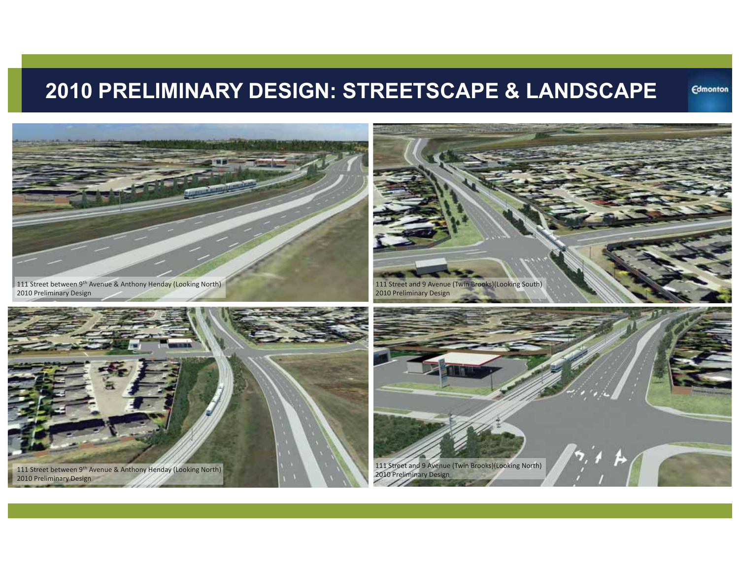### **2010 PRELIMINARY DESIGN: STREETSCAPE & LANDSCAPE**

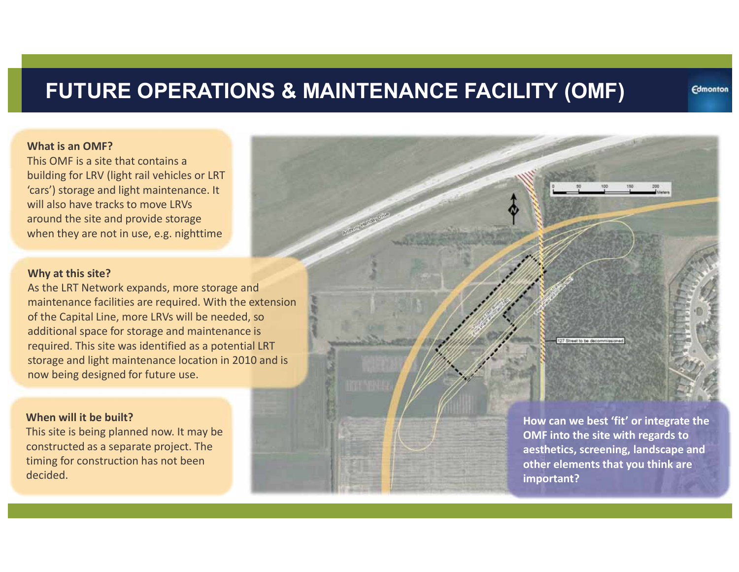### **FUTURE OPERATIONS & MAINTENANCE FACILITY (OMF)**

#### **What is an OMF?**

This OMF is a site that contains a building for LRV (light rail vehicles or LRT 'cars') storage and light maintenance. It will also have tracks to move LRVsaround the site and provide storage when they are not in use, e.g. nighttime

#### **Why at this site?**

As the LRT Network expands, more storage and maintenance facilities are required. With the extension of the Capital Line, more LRVs will be needed, so additional space for storage and maintenance is required. This site was identified as a potential LRT storage and light maintenance location in 2010 and is now being designed for future use.

#### **When will it be built?**

This site is being planned now. It may be constructed as a separate project. The timing for construction has not been decided.

**OMF into the site with regards to aesthetics, screening, landscape and other elements that you think are important?**

**How can we best 'fit' or integrate the**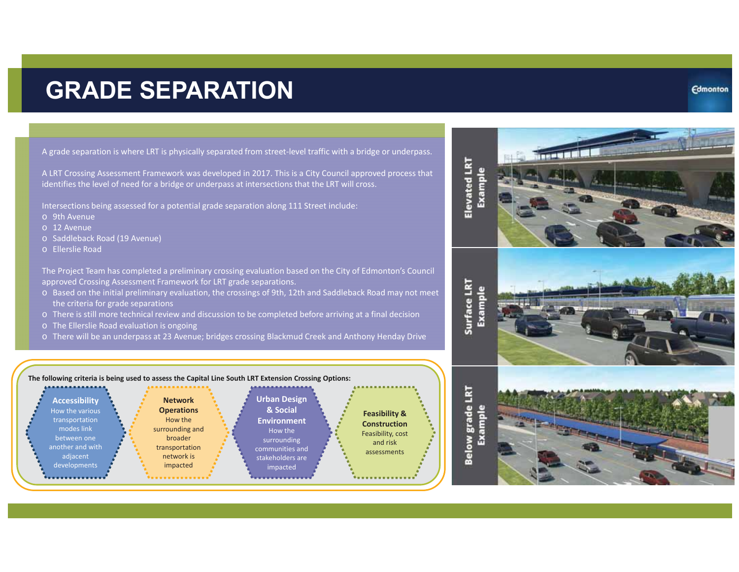## **GRADE SEPARATION**

A grade separation is where LRT is physically separated from street-level traffic with a bridge or underpass.

A LRT Crossing Assessment Framework was developed in 2017. This is a City Council approved process that identifies the level of need for a bridge or underpass at intersections that the LRT will cross.

Intersections being assessed for a potential grade separation along 111 Street include:

- o 9th Avenue
- o 12 Avenue
- o Saddleback Road (19 Avenue)
- o Ellerslie Road

The Project Team has completed a preliminary crossing evaluation based on the City of Edmonton's Council approved Crossing Assessment Framework for LRT grade separations.

- o Based on the initial preliminary evaluation, the crossings of 9th, 12th and Saddleback Road may not meet the criteria for grade separations
- o There is still more technical review and discussion to be completed before arriving at a final decision
- o The Ellerslie Road evaluation is ongoing
- o There will be an underpass at 23 Avenue; bridges crossing Blackmud Creek and Anthony Henday Drive



ing og Al Example Example ample

**Elevated LRT** 

Surface LRT

Below grade LRT

ŗ,